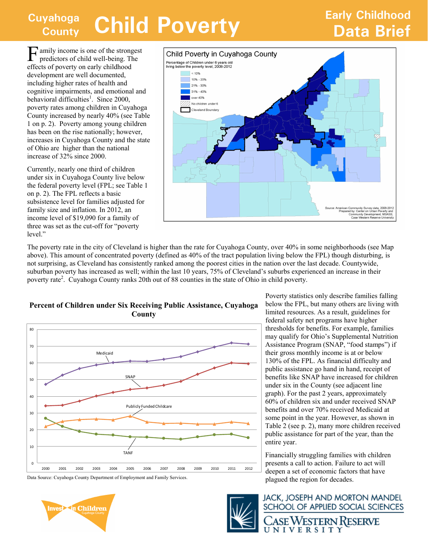### **Cuyahoga County Child Poverty Changes Child Poverty Data Brief**

# **Early Childhood**

F amily income is one of the strongest<br>predictors of child well-being. The predictors of child well-being. The effects of poverty on early childhood development are well documented, including higher rates of health and cognitive impairments, and emotional and behavioral difficulties<sup>1</sup>. Since 2000, poverty rates among children in Cuyahoga County increased by nearly 40% (see Table 1 on p. 2). Poverty among young children has been on the rise nationally; however, increases in Cuyahoga County and the state of Ohio are higher than the national increase of 32% since 2000.

Currently, nearly one third of children under six in Cuyahoga County live below the federal poverty level (FPL; see Table 1 on p. 2). The FPL reflects a basic subsistence level for families adjusted for family size and inflation. In 2012, an income level of \$19,090 for a family of three was set as the cut-off for "poverty level."



The poverty rate in the city of Cleveland is higher than the rate for Cuyahoga County, over 40% in some neighborhoods (see Map above). This amount of concentrated poverty (defined as 40% of the tract population living below the FPL) though disturbing, is not surprising, as Cleveland has consistently ranked among the poorest cities in the nation over the last decade. Countywide, suburban poverty has increased as well; within the last 10 years, 75% of Cleveland's suburbs experienced an increase in their poverty rate<sup>2</sup>. Cuyahoga County ranks 20th out of 88 counties in the state of Ohio in child poverty.



**Percent of Children under Six Receiving Public Assistance, Cuyahoga County**

in Children

Poverty statistics only describe families falling below the FPL, but many others are living with limited resources. As a result, guidelines for federal safety net programs have higher thresholds for benefits. For example, families may qualify for Ohio's Supplemental Nutrition Assistance Program (SNAP, "food stamps") if their gross monthly income is at or below 130% of the FPL. As financial difficulty and public assistance go hand in hand, receipt of benefits like SNAP have increased for children under six in the County (see adjacent line graph). For the past 2 years, approximately 60% of children six and under received SNAP benefits and over 70% received Medicaid at some point in the year. However, as shown in Table 2 (see p. 2), many more children received public assistance for part of the year, than the entire year.

Financially struggling families with children presents a call to action. Failure to act will deepen a set of economic factors that have plagued the region for decades.



**JACK, JOSEPH AND MORTON MANDEL** SCHOOL OF APPLIED SOCIAL SCIENCES ASE WESTERN RESERVE

UNIVERSITY